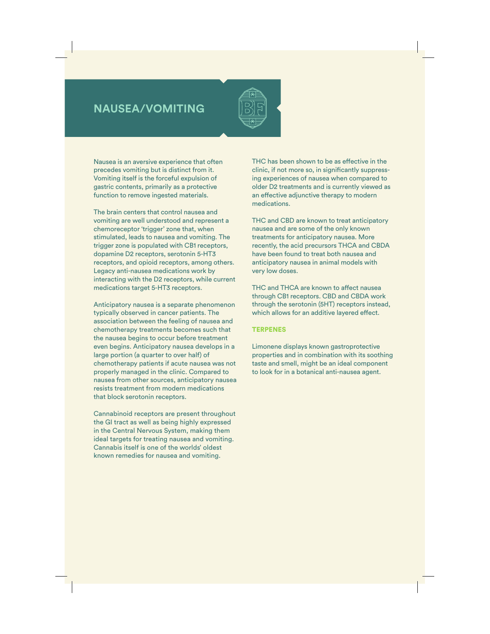## **NAUSEA/VOMITING**



Nausea is an aversive experience that often precedes vomiting but is distinct from it. Vomiting itself is the forceful expulsion of gastric contents, primarily as a protective function to remove ingested materials.

The brain centers that control nausea and vomiting are well understood and represent a chemoreceptor 'trigger' zone that, when stimulated, leads to nausea and vomiting. The trigger zone is populated with CB1 receptors, dopamine D2 receptors, serotonin 5-HT3 receptors, and opioid receptors, among others. Legacy anti-nausea medications work by interacting with the D2 receptors, while current medications target 5-HT3 receptors.

Anticipatory nausea is a separate phenomenon typically observed in cancer patients. The association between the feeling of nausea and chemotherapy treatments becomes such that the nausea begins to occur before treatment even begins. Anticipatory nausea develops in a large portion (a quarter to over half) of chemotherapy patients if acute nausea was not properly managed in the clinic. Compared to nausea from other sources, anticipatory nausea resists treatment from modern medications that block serotonin receptors.

Cannabinoid receptors are present throughout the GI tract as well as being highly expressed in the Central Nervous System, making them ideal targets for treating nausea and vomiting. Cannabis itself is one of the worlds' oldest known remedies for nausea and vomiting.

THC has been shown to be as effective in the clinic, if not more so, in significantly suppressing experiences of nausea when compared to older D2 treatments and is currently viewed as an effective adjunctive therapy to modern medications.

THC and CBD are known to treat anticipatory nausea and are some of the only known treatments for anticipatory nausea. More recently, the acid precursors THCA and CBDA have been found to treat both nausea and anticipatory nausea in animal models with very low doses.

THC and THCA are known to affect nausea through CB1 receptors. CBD and CBDA work through the serotonin (5HT) receptors instead, which allows for an additive layered effect.

## **TERPENES**

Limonene displays known gastroprotective properties and in combination with its soothing taste and smell, might be an ideal component to look for in a botanical anti-nausea agent.